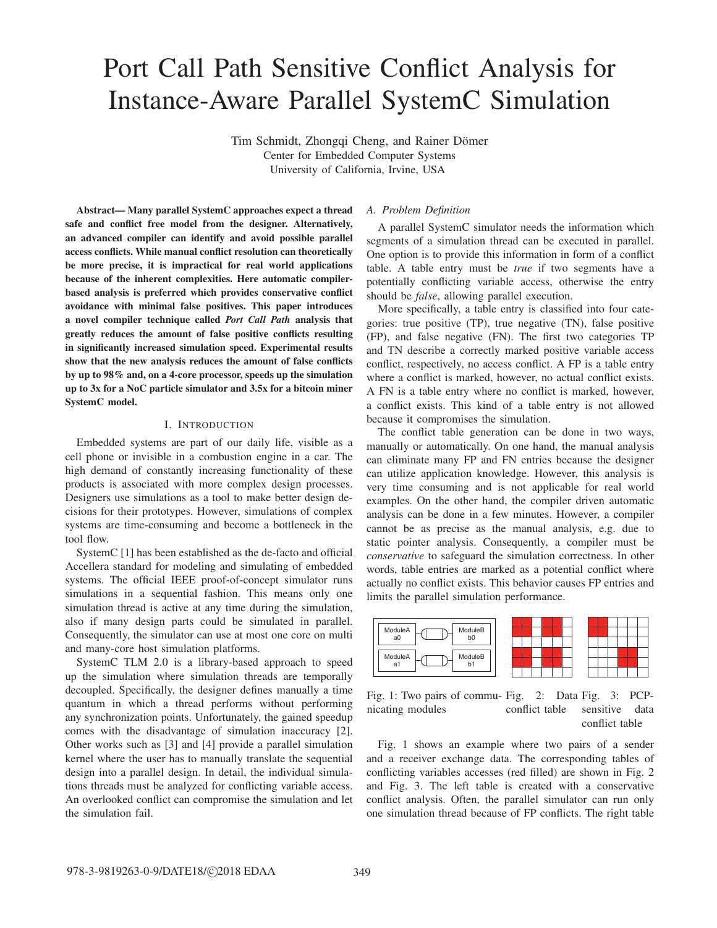# Port Call Path Sensitive Conflict Analysis for Instance-Aware Parallel SystemC Simulation

Tim Schmidt, Zhongqi Cheng, and Rainer Dömer Center for Embedded Computer Systems University of California, Irvine, USA

Abstract— Many parallel SystemC approaches expect a thread safe and conflict free model from the designer. Alternatively, an advanced compiler can identify and avoid possible parallel access conflicts. While manual conflict resolution can theoretically be more precise, it is impractical for real world applications because of the inherent complexities. Here automatic compilerbased analysis is preferred which provides conservative conflict avoidance with minimal false positives. This paper introduces a novel compiler technique called *Port Call Path* analysis that greatly reduces the amount of false positive conflicts resulting in significantly increased simulation speed. Experimental results show that the new analysis reduces the amount of false conflicts by up to 98% and, on a 4-core processor, speeds up the simulation up to 3x for a NoC particle simulator and 3.5x for a bitcoin miner SystemC model.

# I. INTRODUCTION

Embedded systems are part of our daily life, visible as a cell phone or invisible in a combustion engine in a car. The high demand of constantly increasing functionality of these products is associated with more complex design processes. Designers use simulations as a tool to make better design decisions for their prototypes. However, simulations of complex systems are time-consuming and become a bottleneck in the tool flow.

SystemC [1] has been established as the de-facto and official Accellera standard for modeling and simulating of embedded systems. The official IEEE proof-of-concept simulator runs simulations in a sequential fashion. This means only one simulation thread is active at any time during the simulation, also if many design parts could be simulated in parallel. Consequently, the simulator can use at most one core on multi and many-core host simulation platforms.

SystemC TLM 2.0 is a library-based approach to speed up the simulation where simulation threads are temporally decoupled. Specifically, the designer defines manually a time quantum in which a thread performs without performing any synchronization points. Unfortunately, the gained speedup comes with the disadvantage of simulation inaccuracy [2]. Other works such as [3] and [4] provide a parallel simulation kernel where the user has to manually translate the sequential design into a parallel design. In detail, the individual simulations threads must be analyzed for conflicting variable access. An overlooked conflict can compromise the simulation and let the simulation fail.

## *A. Problem Definition*

A parallel SystemC simulator needs the information which segments of a simulation thread can be executed in parallel. One option is to provide this information in form of a conflict table. A table entry must be *true* if two segments have a potentially conflicting variable access, otherwise the entry should be *false*, allowing parallel execution.

More specifically, a table entry is classified into four categories: true positive (TP), true negative (TN), false positive (FP), and false negative (FN). The first two categories TP and TN describe a correctly marked positive variable access conflict, respectively, no access conflict. A FP is a table entry where a conflict is marked, however, no actual conflict exists. A FN is a table entry where no conflict is marked, however, a conflict exists. This kind of a table entry is not allowed because it compromises the simulation.

The conflict table generation can be done in two ways, manually or automatically. On one hand, the manual analysis can eliminate many FP and FN entries because the designer can utilize application knowledge. However, this analysis is very time consuming and is not applicable for real world examples. On the other hand, the compiler driven automatic analysis can be done in a few minutes. However, a compiler cannot be as precise as the manual analysis, e.g. due to static pointer analysis. Consequently, a compiler must be *conservative* to safeguard the simulation correctness. In other words, table entries are marked as a potential conflict where actually no conflict exists. This behavior causes FP entries and limits the parallel simulation performance.





Fig. 1 shows an example where two pairs of a sender and a receiver exchange data. The corresponding tables of conflicting variables accesses (red filled) are shown in Fig. 2 and Fig. 3. The left table is created with a conservative conflict analysis. Often, the parallel simulator can run only one simulation thread because of FP conflicts. The right table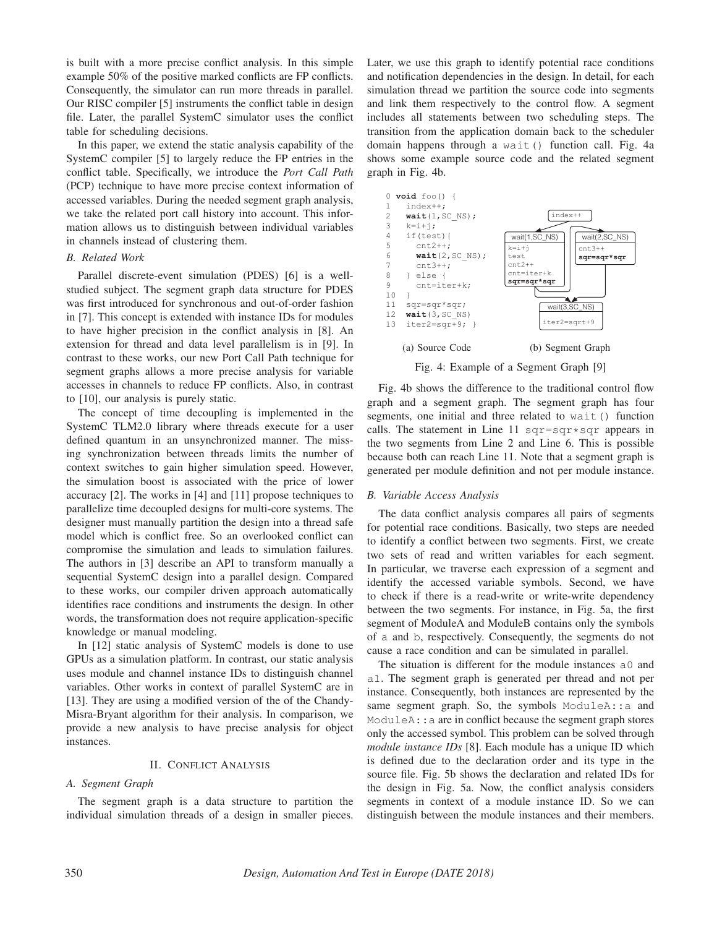is built with a more precise conflict analysis. In this simple example 50% of the positive marked conflicts are FP conflicts. Consequently, the simulator can run more threads in parallel. Our RISC compiler [5] instruments the conflict table in design file. Later, the parallel SystemC simulator uses the conflict table for scheduling decisions.

In this paper, we extend the static analysis capability of the SystemC compiler [5] to largely reduce the FP entries in the conflict table. Specifically, we introduce the *Port Call Path* (PCP) technique to have more precise context information of accessed variables. During the needed segment graph analysis, we take the related port call history into account. This information allows us to distinguish between individual variables in channels instead of clustering them.

## *B. Related Work*

Parallel discrete-event simulation (PDES) [6] is a wellstudied subject. The segment graph data structure for PDES was first introduced for synchronous and out-of-order fashion in [7]. This concept is extended with instance IDs for modules to have higher precision in the conflict analysis in [8]. An extension for thread and data level parallelism is in [9]. In contrast to these works, our new Port Call Path technique for segment graphs allows a more precise analysis for variable accesses in channels to reduce FP conflicts. Also, in contrast to [10], our analysis is purely static.

The concept of time decoupling is implemented in the SystemC TLM2.0 library where threads execute for a user defined quantum in an unsynchronized manner. The missing synchronization between threads limits the number of context switches to gain higher simulation speed. However, the simulation boost is associated with the price of lower accuracy [2]. The works in [4] and [11] propose techniques to parallelize time decoupled designs for multi-core systems. The designer must manually partition the design into a thread safe model which is conflict free. So an overlooked conflict can compromise the simulation and leads to simulation failures. The authors in [3] describe an API to transform manually a sequential SystemC design into a parallel design. Compared to these works, our compiler driven approach automatically identifies race conditions and instruments the design. In other words, the transformation does not require application-specific knowledge or manual modeling.

In [12] static analysis of SystemC models is done to use GPUs as a simulation platform. In contrast, our static analysis uses module and channel instance IDs to distinguish channel variables. Other works in context of parallel SystemC are in [13]. They are using a modified version of the of the Chandy-Misra-Bryant algorithm for their analysis. In comparison, we provide a new analysis to have precise analysis for object instances.

#### II. CONFLICT ANALYSIS

# *A. Segment Graph*

The segment graph is a data structure to partition the individual simulation threads of a design in smaller pieces. Later, we use this graph to identify potential race conditions and notification dependencies in the design. In detail, for each simulation thread we partition the source code into segments and link them respectively to the control flow. A segment includes all statements between two scheduling steps. The transition from the application domain back to the scheduler domain happens through a wait() function call. Fig. 4a shows some example source code and the related segment graph in Fig. 4b.



Fig. 4b shows the difference to the traditional control flow graph and a segment graph. The segment graph has four segments, one initial and three related to wait() function calls. The statement in Line 11 sqr=sqr  $\star$ sqr appears in the two segments from Line 2 and Line 6. This is possible because both can reach Line 11. Note that a segment graph is generated per module definition and not per module instance.

## *B. Variable Access Analysis*

The data conflict analysis compares all pairs of segments for potential race conditions. Basically, two steps are needed to identify a conflict between two segments. First, we create two sets of read and written variables for each segment. In particular, we traverse each expression of a segment and identify the accessed variable symbols. Second, we have to check if there is a read-write or write-write dependency between the two segments. For instance, in Fig. 5a, the first segment of ModuleA and ModuleB contains only the symbols of a and b, respectively. Consequently, the segments do not cause a race condition and can be simulated in parallel.

The situation is different for the module instances a0 and a1. The segment graph is generated per thread and not per instance. Consequently, both instances are represented by the same segment graph. So, the symbols ModuleA:: a and ModuleA: : a are in conflict because the segment graph stores only the accessed symbol. This problem can be solved through *module instance IDs* [8]. Each module has a unique ID which is defined due to the declaration order and its type in the source file. Fig. 5b shows the declaration and related IDs for the design in Fig. 5a. Now, the conflict analysis considers segments in context of a module instance ID. So we can distinguish between the module instances and their members.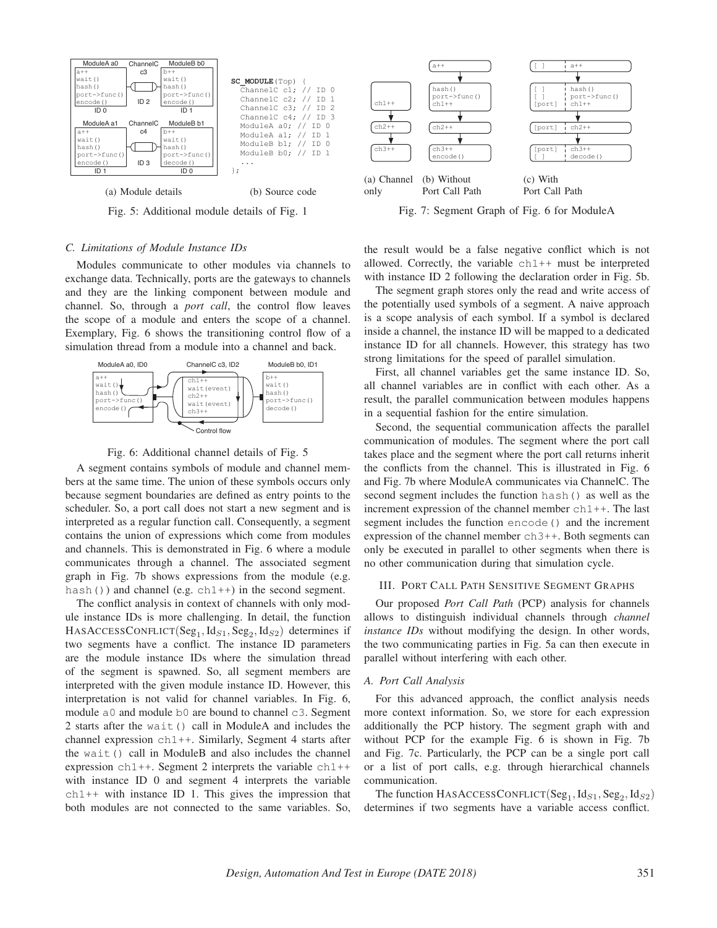

Fig. 5: Additional module details of Fig. 1

#### *C. Limitations of Module Instance IDs*

Modules communicate to other modules via channels to exchange data. Technically, ports are the gateways to channels and they are the linking component between module and channel. So, through a *port call*, the control flow leaves the scope of a module and enters the scope of a channel. Exemplary, Fig. 6 shows the transitioning control flow of a simulation thread from a module into a channel and back.





A segment contains symbols of module and channel members at the same time. The union of these symbols occurs only because segment boundaries are defined as entry points to the scheduler. So, a port call does not start a new segment and is interpreted as a regular function call. Consequently, a segment contains the union of expressions which come from modules and channels. This is demonstrated in Fig. 6 where a module communicates through a channel. The associated segment graph in Fig. 7b shows expressions from the module (e.g. hash()) and channel (e.g.  $ch1++$ ) in the second segment.

The conflict analysis in context of channels with only module instance IDs is more challenging. In detail, the function  $HASACCESSCONFLICT(Seg<sub>1</sub>, Id<sub>S1</sub>, Seg<sub>2</sub>, Id<sub>S2</sub>) determines if$ two segments have a conflict. The instance ID parameters are the module instance IDs where the simulation thread of the segment is spawned. So, all segment members are interpreted with the given module instance ID. However, this interpretation is not valid for channel variables. In Fig. 6, module a0 and module b0 are bound to channel c3. Segment 2 starts after the wait() call in ModuleA and includes the channel expression ch1++. Similarly, Segment 4 starts after the wait() call in ModuleB and also includes the channel expression ch1++. Segment 2 interprets the variable ch1++ with instance ID 0 and segment 4 interprets the variable  $ch1++$  with instance ID 1. This gives the impression that both modules are not connected to the same variables. So,

Fig. 7: Segment Graph of Fig. 6 for ModuleA

the result would be a false negative conflict which is not allowed. Correctly, the variable ch1++ must be interpreted with instance ID 2 following the declaration order in Fig. 5b.

The segment graph stores only the read and write access of the potentially used symbols of a segment. A naive approach is a scope analysis of each symbol. If a symbol is declared inside a channel, the instance ID will be mapped to a dedicated instance ID for all channels. However, this strategy has two strong limitations for the speed of parallel simulation.

First, all channel variables get the same instance ID. So, all channel variables are in conflict with each other. As a result, the parallel communication between modules happens in a sequential fashion for the entire simulation.

Second, the sequential communication affects the parallel communication of modules. The segment where the port call takes place and the segment where the port call returns inherit the conflicts from the channel. This is illustrated in Fig. 6 and Fig. 7b where ModuleA communicates via ChannelC. The second segment includes the function hash() as well as the increment expression of the channel member ch1++. The last segment includes the function encode() and the increment expression of the channel member ch3++. Both segments can only be executed in parallel to other segments when there is no other communication during that simulation cycle.

## III. PORT CALL PATH SENSITIVE SEGMENT GRAPHS

Our proposed *Port Call Path* (PCP) analysis for channels allows to distinguish individual channels through *channel instance IDs* without modifying the design. In other words, the two communicating parties in Fig. 5a can then execute in parallel without interfering with each other.

#### *A. Port Call Analysis*

For this advanced approach, the conflict analysis needs more context information. So, we store for each expression additionally the PCP history. The segment graph with and without PCP for the example Fig. 6 is shown in Fig. 7b and Fig. 7c. Particularly, the PCP can be a single port call or a list of port calls, e.g. through hierarchical channels communication.

The function HASACCESSCONFLICT( $Seg_1, Id_{S1}, Seg_2, Id_{S2}$ ) determines if two segments have a variable access conflict.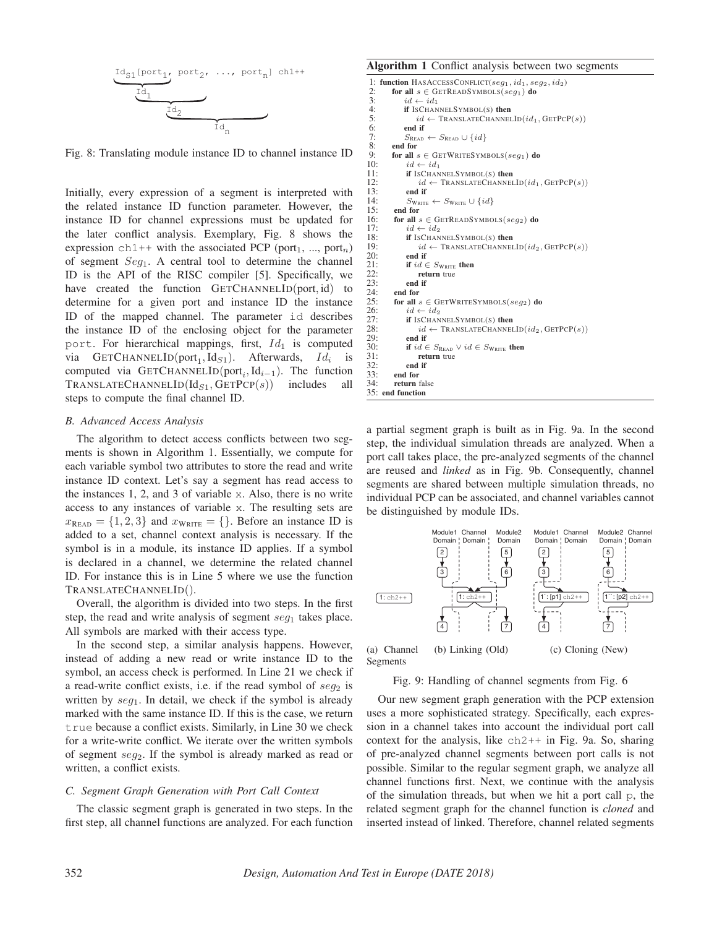

Fig. 8: Translating module instance ID to channel instance ID

Initially, every expression of a segment is interpreted with the related instance ID function parameter. However, the instance ID for channel expressions must be updated for the later conflict analysis. Exemplary, Fig. 8 shows the expression ch<sub>1++</sub> with the associated PCP (port<sub>1</sub>, ..., port<sub>n</sub>) of segment  $Seg_1$ . A central tool to determine the channel ID is the API of the RISC compiler [5]. Specifically, we have created the function GETCHANNELID(port, id) to determine for a given port and instance ID the instance ID of the mapped channel. The parameter id describes the instance ID of the enclosing object for the parameter port. For hierarchical mappings, first,  $Id_1$  is computed via GETCHANNELID(port<sub>1</sub>, Id<sub>S1</sub>). Afterwards,  $Id_i$  is computed via GETCHANNELID(port<sub>i</sub>, Id<sub>i−1</sub>). The function TRANSLATECHANNELID(Id<sub>S1</sub>, GETPCP(s)) includes all  $TRANSLATECHANNELID(Id_{S1}, GETPCP(s))$  includes steps to compute the final channel ID.

## *B. Advanced Access Analysis*

The algorithm to detect access conflicts between two segments is shown in Algorithm 1. Essentially, we compute for each variable symbol two attributes to store the read and write instance ID context. Let's say a segment has read access to the instances 1, 2, and 3 of variable x. Also, there is no write access to any instances of variable x. The resulting sets are  $x_{\text{READ}} = \{1, 2, 3\}$  and  $x_{\text{WHERE}} = \{\}.$  Before an instance ID is added to a set, channel context analysis is necessary. If the symbol is in a module, its instance ID applies. If a symbol is declared in a channel, we determine the related channel ID. For instance this is in Line 5 where we use the function TRANSLATECHANNELID().

Overall, the algorithm is divided into two steps. In the first step, the read and write analysis of segment  $seg_1$  takes place. All symbols are marked with their access type.

In the second step, a similar analysis happens. However, instead of adding a new read or write instance ID to the symbol, an access check is performed. In Line 21 we check if a read-write conflict exists, i.e. if the read symbol of  $seq_2$  is written by  $seg_1$ . In detail, we check if the symbol is already marked with the same instance ID. If this is the case, we return true because a conflict exists. Similarly, in Line 30 we check for a write-write conflict. We iterate over the written symbols of segment seg2. If the symbol is already marked as read or written, a conflict exists.

# *C. Segment Graph Generation with Port Call Context*

The classic segment graph is generated in two steps. In the first step, all channel functions are analyzed. For each function

#### Algorithm 1 Conflict analysis between two segments

```
1: function HASACCESSCONFLICT(seg1, id1, seg2, id2)<br>2: for all s \inGETREADSYMBOLS(seg1) do
2: for all s \in \text{GETREADSYMBOLS}(seg_1) do<br>3: id \leftarrow id_13: id \leftarrow id_1<br>4. if ISCHAN
4: if ISCHANNELSYMBOL(S) then<br>5: id \leftarrow \text{TRANSLATECHANNE}5: id \leftarrow \text{TransLATECHANNELID}(id_1, \text{GETPCP}(s))<br>6: end if
 6: end if<br>7: S_{\text{RFAD}}7: S_{\text{READ}} \leftarrow S_{\text{READ}} \cup \{id\}<br>8: end for
 8: end for 9: for all
9: for all s \in \text{GETWRIESYMBOLS}(seg_1) do id \leftarrow id_110: id \leftarrow id_1<br>11: if IsCHAN
11: if ISCHANNELSYMBOL(S) then<br>12: id \leftarrow \text{TransLATECHANNEI}12: id \leftarrow \text{TRANSLATECHANNELID}(id_1, \text{GETPCP}(s))<br>13: end if
13: end if S_{\text{W}}<sub>PITE</sub>
14: S_{\text{WRITE}} \leftarrow S_{\text{WRITE}} \cup \{id\}<br>15: end for
15: end for<br>16: for all
16: for all s \in \text{GETREADSYMBOLS}(seg_2) do 17: id \leftarrow id_217: id \leftarrow id_2<br>18: if ISCHAN
18: if ISCHANNELSYMBOL(S) then<br>19: id \leftarrow \text{TransLATECHANNEI}19: id \leftarrow \text{TransLATECHANNELID}(id_2, \text{GETPCP}(s))<br>
20. and if
20: end if<br>
21: if id \in21: if id \in S_{\text{WRTIE}} then<br>22: if if if if it is refurn true
22: r return true<br>23: r end if
23: end if<br>
24 end for
24: end for 25: for all
25: for all s \in \text{GETWRITESYMBOLS}(seg_2) do <br>26: id \leftarrow id_226: id \leftarrow id_2<br>27: if ISCHAN
27: if ISCHANNELSYMBOL(S) then<br>28: id \leftarrow \text{TRANSLATECHANNE}28: id \leftarrow \text{TRANSLATECHANNELID}(id_2, \text{GETPCP}(s))<br>29: end if
29: end if<br>30: if id \in30: if id \in S_{\text{READ}} \vee id \in S_{\text{WRITE}} then<br>31: if if if if if if it is example.
31: return true<br>32: end if
32: end if
33: end for 34: return
            return false
35: end function
```
a partial segment graph is built as in Fig. 9a. In the second step, the individual simulation threads are analyzed. When a port call takes place, the pre-analyzed segments of the channel are reused and *linked* as in Fig. 9b. Consequently, channel segments are shared between multiple simulation threads, no individual PCP can be associated, and channel variables cannot be distinguished by module IDs.



Fig. 9: Handling of channel segments from Fig. 6

Our new segment graph generation with the PCP extension uses a more sophisticated strategy. Specifically, each expression in a channel takes into account the individual port call context for the analysis, like ch2++ in Fig. 9a. So, sharing of pre-analyzed channel segments between port calls is not possible. Similar to the regular segment graph, we analyze all channel functions first. Next, we continue with the analysis of the simulation threads, but when we hit a port call p, the related segment graph for the channel function is *cloned* and inserted instead of linked. Therefore, channel related segments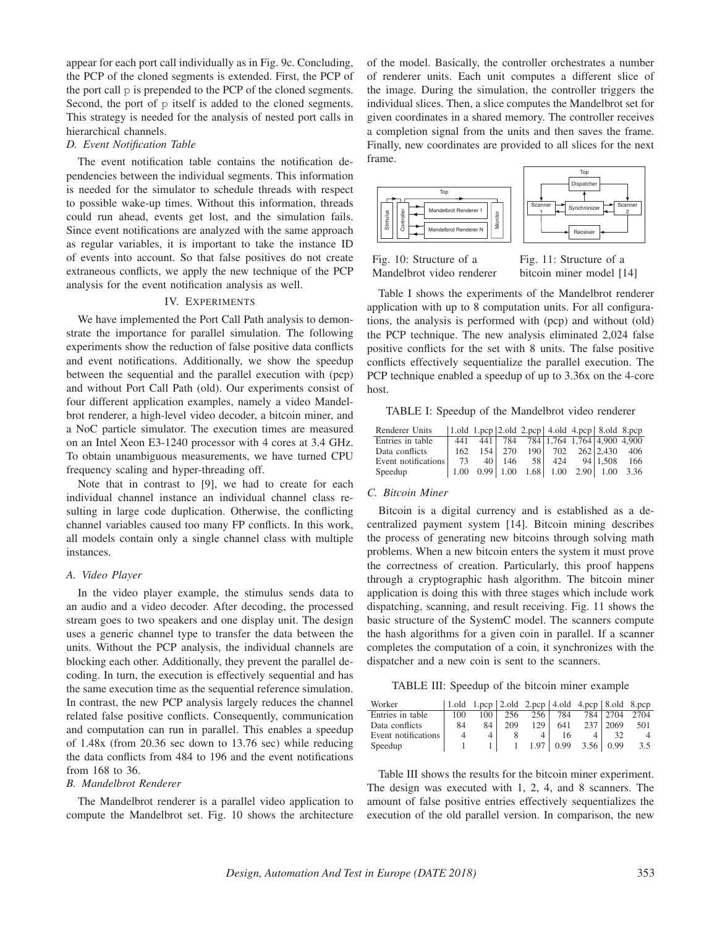appear for each port call individually as in Fig. 9c. Concluding, the PCP of the cloned segments is extended. First, the PCP of the port call p is prepended to the PCP of the cloned segments. Second, the port of  $p$  itself is added to the cloned segments. This strategy is needed for the analysis of nested port calls in hierarchical channels.

## *D. Event Notification Table*

The event notification table contains the notification dependencies between the individual segments. This information is needed for the simulator to schedule threads with respect to possible wake-up times. Without this information, threads could run ahead, events get lost, and the simulation fails. Since event notifications are analyzed with the same approach as regular variables, it is important to take the instance ID of events into account. So that false positives do not create extraneous conflicts, we apply the new technique of the PCP analysis for the event notification analysis as well.

## IV. EXPERIMENTS

We have implemented the Port Call Path analysis to demonstrate the importance for parallel simulation. The following experiments show the reduction of false positive data conflicts and event notifications. Additionally, we show the speedup between the sequential and the parallel execution with (pcp) and without Port Call Path (old). Our experiments consist of four different application examples, namely a video Mandelbrot renderer, a high-level video decoder, a bitcoin miner, and a NoC particle simulator. The execution times are measured on an Intel Xeon E3-1240 processor with 4 cores at 3.4 GHz. To obtain unambiguous measurements, we have turned CPU frequency scaling and hyper-threading off.

Note that in contrast to [9], we had to create for each individual channel instance an individual channel class resulting in large code duplication. Otherwise, the conflicting channel variables caused too many FP conflicts. In this work, all models contain only a single channel class with multiple instances.

# *A. Video Player*

In the video player example, the stimulus sends data to an audio and a video decoder. After decoding, the processed stream goes to two speakers and one display unit. The design uses a generic channel type to transfer the data between the units. Without the PCP analysis, the individual channels are blocking each other. Additionally, they prevent the parallel decoding. In turn, the execution is effectively sequential and has the same execution time as the sequential reference simulation. In contrast, the new PCP analysis largely reduces the channel related false positive conflicts. Consequently, communication and computation can run in parallel. This enables a speedup of 1.48x (from 20.36 sec down to 13.76 sec) while reducing the data conflicts from 484 to 196 and the event notifications from 168 to 36.

## *B. Mandelbrot Renderer*

The Mandelbrot renderer is a parallel video application to compute the Mandelbrot set. Fig. 10 shows the architecture of the model. Basically, the controller orchestrates a number of renderer units. Each unit computes a different slice of the image. During the simulation, the controller triggers the individual slices. Then, a slice computes the Mandelbrot set for given coordinates in a shared memory. The controller receives a completion signal from the units and then saves the frame. Finally, new coordinates are provided to all slices for the next frame.



Fig. 10: Structure of a Mandelbrot video renderer

Fig. 11: Structure of a bitcoin miner model [14]

Table I shows the experiments of the Mandelbrot renderer application with up to 8 computation units. For all configurations, the analysis is performed with (pcp) and without (old) the PCP technique. The new analysis eliminated 2,024 false positive conflicts for the set with 8 units. The false positive conflicts effectively sequentialize the parallel execution. The PCP technique enabled a speedup of up to 3.36x on the 4-core host.

TABLE I: Speedup of the Mandelbrot video renderer

| Renderer Units      |      |        |                             | 1.old 1.pcp 2.old 2.pcp 4.old 4.pcp 8.old 8.pcp |      |
|---------------------|------|--------|-----------------------------|-------------------------------------------------|------|
| Entries in table    |      |        |                             | 441 441 784 784 1,764 1,764 4,900 4,900         |      |
| Data conflicts      | 162  |        |                             | 154 270 190 702 262 2,430 406                   |      |
| Event notifications | 73   | 40 146 |                             | 58 424 94 1.508                                 | 166  |
| Speedup             | 1.00 |        | $0.99$   1.00   1.68   1.00 | 2.90 1.00                                       | 3.36 |

# *C. Bitcoin Miner*

Bitcoin is a digital currency and is established as a decentralized payment system [14]. Bitcoin mining describes the process of generating new bitcoins through solving math problems. When a new bitcoin enters the system it must prove the correctness of creation. Particularly, this proof happens through a cryptographic hash algorithm. The bitcoin miner application is doing this with three stages which include work dispatching, scanning, and result receiving. Fig. 11 shows the basic structure of the SystemC model. The scanners compute the hash algorithms for a given coin in parallel. If a scanner completes the computation of a coin, it synchronizes with the dispatcher and a new coin is sent to the scanners.

TABLE III: Speedup of the bitcoin miner example

| Worker              |     |       |     | 1.old 1.pcp   2.old 2.pcp   4.old 4.pcp   8.old 8.pcp |      |                  |                |
|---------------------|-----|-------|-----|-------------------------------------------------------|------|------------------|----------------|
| Entries in table    | 100 | 100 l | 256 | 256                                                   | 784  | 784 2704         | 2704           |
| Data conflicts      | 84  | 84    | 209 | 129                                                   | 641  | 237   2069       | 501            |
| Event notifications |     | 4     |     |                                                       |      | 32               | $\overline{A}$ |
| Speedup             |     |       |     | 1.97 <sup>1</sup>                                     | 0.99 | $3.56 \div 0.99$ | 3.5            |

Table III shows the results for the bitcoin miner experiment. The design was executed with 1, 2, 4, and 8 scanners. The amount of false positive entries effectively sequentializes the execution of the old parallel version. In comparison, the new